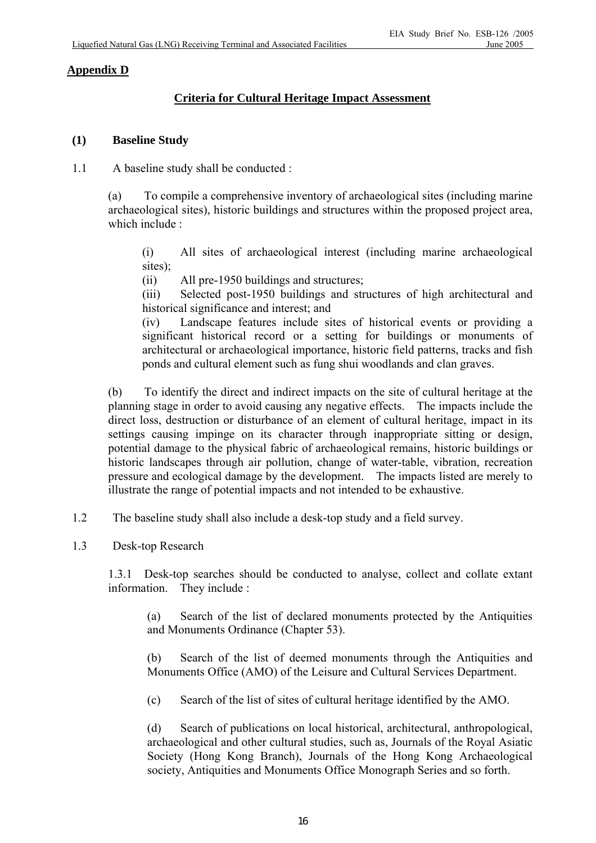## **Appendix D**

# **Criteria for Cultural Heritage Impact Assessment**

#### **(1) Baseline Study**

1.1 A baseline study shall be conducted :

 (a) To compile a comprehensive inventory of archaeological sites (including marine archaeological sites), historic buildings and structures within the proposed project area, which include :

 (i) All sites of archaeological interest (including marine archaeological sites);

(ii) All pre-1950 buildings and structures;

 (iii) Selected post-1950 buildings and structures of high architectural and historical significance and interest; and

 (iv) Landscape features include sites of historical events or providing a significant historical record or a setting for buildings or monuments of architectural or archaeological importance, historic field patterns, tracks and fish ponds and cultural element such as fung shui woodlands and clan graves.

 (b) To identify the direct and indirect impacts on the site of cultural heritage at the planning stage in order to avoid causing any negative effects. The impacts include the direct loss, destruction or disturbance of an element of cultural heritage, impact in its settings causing impinge on its character through inappropriate sitting or design, potential damage to the physical fabric of archaeological remains, historic buildings or historic landscapes through air pollution, change of water-table, vibration, recreation pressure and ecological damage by the development. The impacts listed are merely to illustrate the range of potential impacts and not intended to be exhaustive.

1.2 The baseline study shall also include a desk-top study and a field survey.

1.3 Desk-top Research

 1.3.1 Desk-top searches should be conducted to analyse, collect and collate extant information. They include :

 (a) Search of the list of declared monuments protected by the Antiquities and Monuments Ordinance (Chapter 53).

 (b) Search of the list of deemed monuments through the Antiquities and Monuments Office (AMO) of the Leisure and Cultural Services Department.

(c) Search of the list of sites of cultural heritage identified by the AMO.

 (d) Search of publications on local historical, architectural, anthropological, archaeological and other cultural studies, such as, Journals of the Royal Asiatic Society (Hong Kong Branch), Journals of the Hong Kong Archaeological society, Antiquities and Monuments Office Monograph Series and so forth.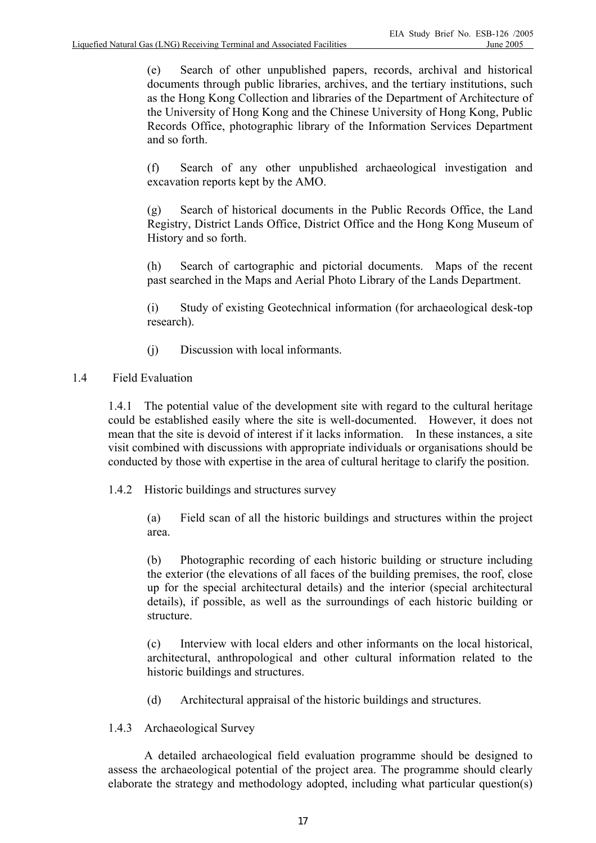(e) Search of other unpublished papers, records, archival and historical documents through public libraries, archives, and the tertiary institutions, such as the Hong Kong Collection and libraries of the Department of Architecture of the University of Hong Kong and the Chinese University of Hong Kong, Public Records Office, photographic library of the Information Services Department and so forth.

 (f) Search of any other unpublished archaeological investigation and excavation reports kept by the AMO.

 (g) Search of historical documents in the Public Records Office, the Land Registry, District Lands Office, District Office and the Hong Kong Museum of History and so forth.

 (h) Search of cartographic and pictorial documents. Maps of the recent past searched in the Maps and Aerial Photo Library of the Lands Department.

 (i) Study of existing Geotechnical information (for archaeological desk-top research).

- (j) Discussion with local informants.
- 1.4 Field Evaluation

 1.4.1 The potential value of the development site with regard to the cultural heritage could be established easily where the site is well-documented. However, it does not mean that the site is devoid of interest if it lacks information. In these instances, a site visit combined with discussions with appropriate individuals or organisations should be conducted by those with expertise in the area of cultural heritage to clarify the position.

1.4.2 Historic buildings and structures survey

 (a) Field scan of all the historic buildings and structures within the project area.

 (b) Photographic recording of each historic building or structure including the exterior (the elevations of all faces of the building premises, the roof, close up for the special architectural details) and the interior (special architectural details), if possible, as well as the surroundings of each historic building or structure.

 (c) Interview with local elders and other informants on the local historical, architectural, anthropological and other cultural information related to the historic buildings and structures.

(d) Architectural appraisal of the historic buildings and structures.

1.4.3 Archaeological Survey

 A detailed archaeological field evaluation programme should be designed to assess the archaeological potential of the project area. The programme should clearly elaborate the strategy and methodology adopted, including what particular question(s)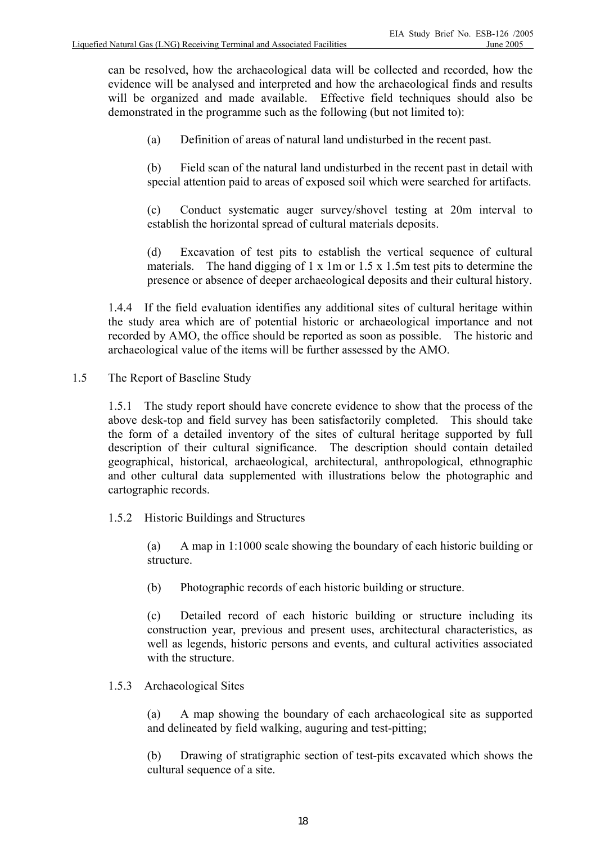can be resolved, how the archaeological data will be collected and recorded, how the evidence will be analysed and interpreted and how the archaeological finds and results will be organized and made available. Effective field techniques should also be demonstrated in the programme such as the following (but not limited to):

(a) Definition of areas of natural land undisturbed in the recent past.

 (b) Field scan of the natural land undisturbed in the recent past in detail with special attention paid to areas of exposed soil which were searched for artifacts.

 (c) Conduct systematic auger survey/shovel testing at 20m interval to establish the horizontal spread of cultural materials deposits.

 (d) Excavation of test pits to establish the vertical sequence of cultural materials. The hand digging of  $1 \times 1$ m or  $1.5 \times 1.5$ m test pits to determine the presence or absence of deeper archaeological deposits and their cultural history.

 1.4.4 If the field evaluation identifies any additional sites of cultural heritage within the study area which are of potential historic or archaeological importance and not recorded by AMO, the office should be reported as soon as possible. The historic and archaeological value of the items will be further assessed by the AMO.

1.5 The Report of Baseline Study

 1.5.1 The study report should have concrete evidence to show that the process of the above desk-top and field survey has been satisfactorily completed. This should take the form of a detailed inventory of the sites of cultural heritage supported by full description of their cultural significance. The description should contain detailed geographical, historical, archaeological, architectural, anthropological, ethnographic and other cultural data supplemented with illustrations below the photographic and cartographic records.

1.5.2 Historic Buildings and Structures

 (a) A map in 1:1000 scale showing the boundary of each historic building or structure.

(b) Photographic records of each historic building or structure.

 (c) Detailed record of each historic building or structure including its construction year, previous and present uses, architectural characteristics, as well as legends, historic persons and events, and cultural activities associated with the structure.

## 1.5.3 Archaeological Sites

 (a) A map showing the boundary of each archaeological site as supported and delineated by field walking, auguring and test-pitting;

 (b) Drawing of stratigraphic section of test-pits excavated which shows the cultural sequence of a site.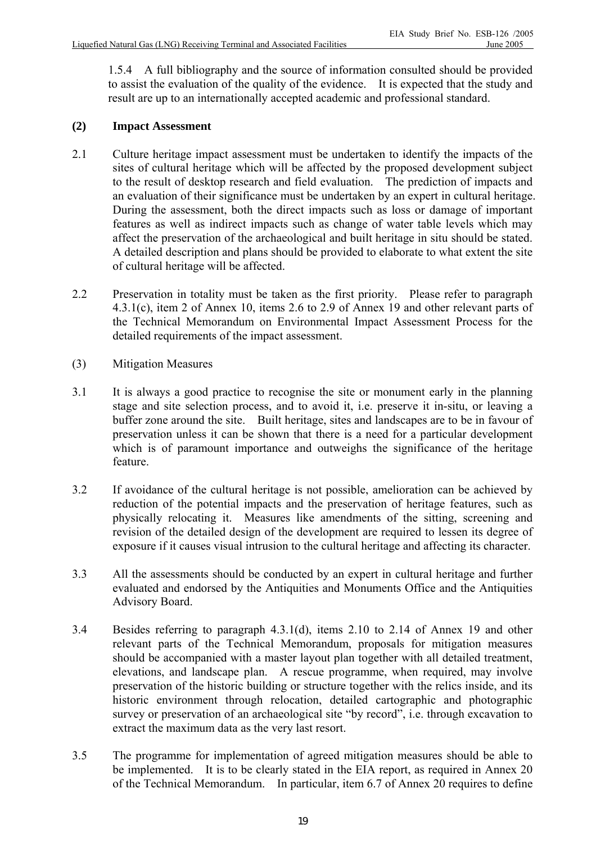1.5.4 A full bibliography and the source of information consulted should be provided to assist the evaluation of the quality of the evidence. It is expected that the study and result are up to an internationally accepted academic and professional standard.

## **(2) Impact Assessment**

- 2.1 Culture heritage impact assessment must be undertaken to identify the impacts of the sites of cultural heritage which will be affected by the proposed development subject to the result of desktop research and field evaluation. The prediction of impacts and an evaluation of their significance must be undertaken by an expert in cultural heritage. During the assessment, both the direct impacts such as loss or damage of important features as well as indirect impacts such as change of water table levels which may affect the preservation of the archaeological and built heritage in situ should be stated. A detailed description and plans should be provided to elaborate to what extent the site of cultural heritage will be affected.
- 2.2 Preservation in totality must be taken as the first priority. Please refer to paragraph 4.3.1(c), item 2 of Annex 10, items 2.6 to 2.9 of Annex 19 and other relevant parts of the Technical Memorandum on Environmental Impact Assessment Process for the detailed requirements of the impact assessment.
- (3) Mitigation Measures
- 3.1 It is always a good practice to recognise the site or monument early in the planning stage and site selection process, and to avoid it, i.e. preserve it in-situ, or leaving a buffer zone around the site. Built heritage, sites and landscapes are to be in favour of preservation unless it can be shown that there is a need for a particular development which is of paramount importance and outweighs the significance of the heritage feature.
- 3.2 If avoidance of the cultural heritage is not possible, amelioration can be achieved by reduction of the potential impacts and the preservation of heritage features, such as physically relocating it. Measures like amendments of the sitting, screening and revision of the detailed design of the development are required to lessen its degree of exposure if it causes visual intrusion to the cultural heritage and affecting its character.
- 3.3 All the assessments should be conducted by an expert in cultural heritage and further evaluated and endorsed by the Antiquities and Monuments Office and the Antiquities Advisory Board.
- 3.4 Besides referring to paragraph 4.3.1(d), items 2.10 to 2.14 of Annex 19 and other relevant parts of the Technical Memorandum, proposals for mitigation measures should be accompanied with a master layout plan together with all detailed treatment, elevations, and landscape plan. A rescue programme, when required, may involve preservation of the historic building or structure together with the relics inside, and its historic environment through relocation, detailed cartographic and photographic survey or preservation of an archaeological site "by record", i.e. through excavation to extract the maximum data as the very last resort.
- 3.5 The programme for implementation of agreed mitigation measures should be able to be implemented. It is to be clearly stated in the EIA report, as required in Annex 20 of the Technical Memorandum. In particular, item 6.7 of Annex 20 requires to define